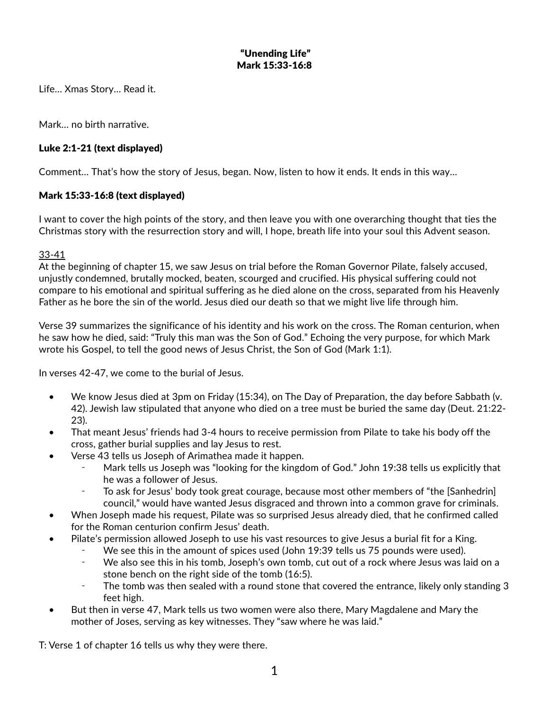## "Unending Life" Mark 15:33-16:8

Life… Xmas Story… Read it.

Mark… no birth narrative.

# Luke 2:1-21 (text displayed)

Comment… That's how the story of Jesus, began. Now, listen to how it ends. It ends in this way…

## Mark 15:33-16:8 (text displayed)

I want to cover the high points of the story, and then leave you with one overarching thought that ties the Christmas story with the resurrection story and will, I hope, breath life into your soul this Advent season.

#### 33-41

At the beginning of chapter 15, we saw Jesus on trial before the Roman Governor Pilate, falsely accused, unjustly condemned, brutally mocked, beaten, scourged and crucified. His physical suffering could not compare to his emotional and spiritual suffering as he died alone on the cross, separated from his Heavenly Father as he bore the sin of the world. Jesus died our death so that we might live life through him.

Verse 39 summarizes the significance of his identity and his work on the cross. The Roman centurion, when he saw how he died, said: "Truly this man was the Son of God." Echoing the very purpose, for which Mark wrote his Gospel, to tell the good news of Jesus Christ, the Son of God (Mark 1:1).

In verses 42-47, we come to the burial of Jesus.

- We know Jesus died at 3pm on Friday (15:34), on The Day of Preparation, the day before Sabbath (v. 42). Jewish law stipulated that anyone who died on a tree must be buried the same day (Deut. 21:22- 23).
- That meant Jesus' friends had 3-4 hours to receive permission from Pilate to take his body off the cross, gather burial supplies and lay Jesus to rest.
- Verse 43 tells us Joseph of Arimathea made it happen.
	- Mark tells us Joseph was "looking for the kingdom of God." John 19:38 tells us explicitly that he was a follower of Jesus.
	- To ask for Jesus' body took great courage, because most other members of "the [Sanhedrin] council," would have wanted Jesus disgraced and thrown into a common grave for criminals.
- When Joseph made his request, Pilate was so surprised Jesus already died, that he confirmed called for the Roman centurion confirm Jesus' death.
- Pilate's permission allowed Joseph to use his vast resources to give Jesus a burial fit for a King.
	- ⁃ We see this in the amount of spices used (John 19:39 tells us 75 pounds were used).
	- We also see this in his tomb, Joseph's own tomb, cut out of a rock where Jesus was laid on a stone bench on the right side of the tomb (16:5).
	- The tomb was then sealed with a round stone that covered the entrance, likely only standing 3 feet high.
- But then in verse 47, Mark tells us two women were also there, Mary Magdalene and Mary the mother of Joses, serving as key witnesses. They "saw where he was laid."

T: Verse 1 of chapter 16 tells us why they were there.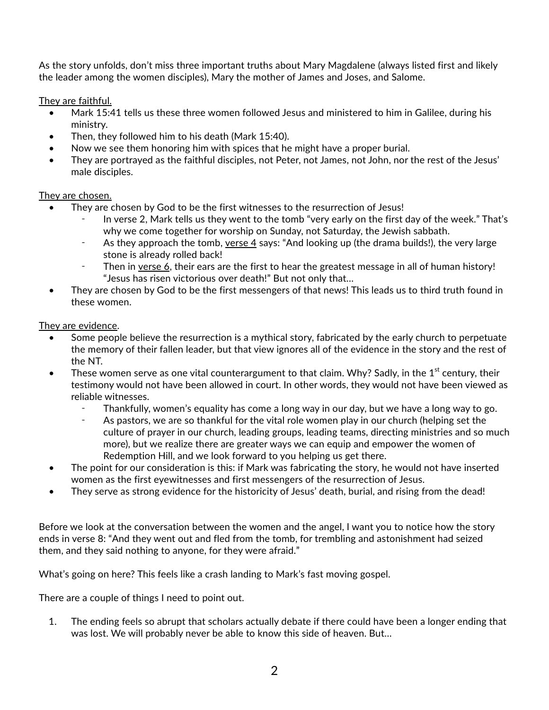As the story unfolds, don't miss three important truths about Mary Magdalene (always listed first and likely the leader among the women disciples), Mary the mother of James and Joses, and Salome.

They are faithful.

- Mark 15:41 tells us these three women followed Jesus and ministered to him in Galilee, during his ministry.
- Then, they followed him to his death (Mark 15:40).
- Now we see them honoring him with spices that he might have a proper burial.
- They are portrayed as the faithful disciples, not Peter, not James, not John, nor the rest of the Jesus' male disciples.

## They are chosen.

- They are chosen by God to be the first witnesses to the resurrection of Jesus!
	- In verse 2, Mark tells us they went to the tomb "very early on the first day of the week." That's why we come together for worship on Sunday, not Saturday, the Jewish sabbath.
	- As they approach the tomb, verse 4 says: "And looking up (the drama builds!), the very large stone is already rolled back!
	- Then in verse 6, their ears are the first to hear the greatest message in all of human history! "Jesus has risen victorious over death!" But not only that…
- They are chosen by God to be the first messengers of that news! This leads us to third truth found in these women.

They are evidence.

- Some people believe the resurrection is a mythical story, fabricated by the early church to perpetuate the memory of their fallen leader, but that view ignores all of the evidence in the story and the rest of the NT.
- These women serve as one vital counterargument to that claim. Why? Sadly, in the 1<sup>st</sup> century, their testimony would not have been allowed in court. In other words, they would not have been viewed as reliable witnesses.
	- Thankfully, women's equality has come a long way in our day, but we have a long way to go.
	- As pastors, we are so thankful for the vital role women play in our church (helping set the culture of prayer in our church, leading groups, leading teams, directing ministries and so much more), but we realize there are greater ways we can equip and empower the women of Redemption Hill, and we look forward to you helping us get there.
- The point for our consideration is this: if Mark was fabricating the story, he would not have inserted women as the first eyewitnesses and first messengers of the resurrection of Jesus.
- They serve as strong evidence for the historicity of Jesus' death, burial, and rising from the dead!

Before we look at the conversation between the women and the angel, I want you to notice how the story ends in verse 8: "And they went out and fled from the tomb, for trembling and astonishment had seized them, and they said nothing to anyone, for they were afraid."

What's going on here? This feels like a crash landing to Mark's fast moving gospel.

There are a couple of things I need to point out.

1. The ending feels so abrupt that scholars actually debate if there could have been a longer ending that was lost. We will probably never be able to know this side of heaven. But…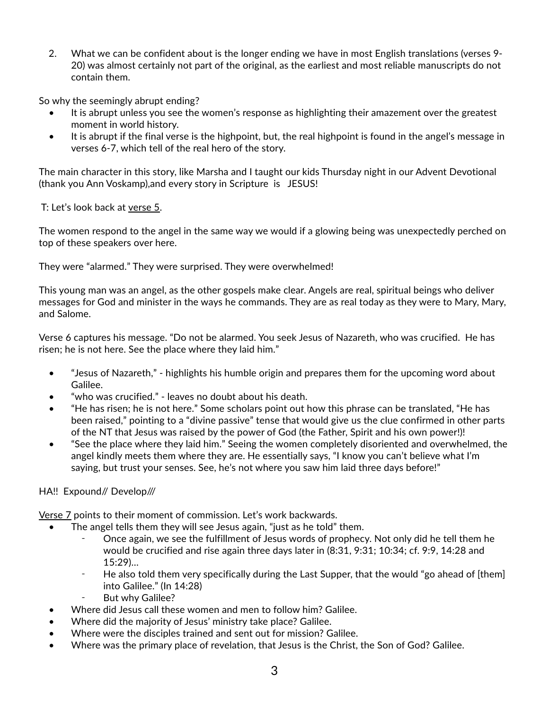2. What we can be confident about is the longer ending we have in most English translations (verses 9- 20) was almost certainly not part of the original, as the earliest and most reliable manuscripts do not contain them.

So why the seemingly abrupt ending?

- It is abrupt unless you see the women's response as highlighting their amazement over the greatest moment in world history.
- It is abrupt if the final verse is the highpoint, but, the real highpoint is found in the angel's message in verses 6-7, which tell of the real hero of the story.

The main character in this story, like Marsha and I taught our kids Thursday night in our Advent Devotional (thank you Ann Voskamp),and every story in Scripture is JESUS!

T: Let's look back at verse 5.

The women respond to the angel in the same way we would if a glowing being was unexpectedly perched on top of these speakers over here.

They were "alarmed." They were surprised. They were overwhelmed!

This young man was an angel, as the other gospels make clear. Angels are real, spiritual beings who deliver messages for God and minister in the ways he commands. They are as real today as they were to Mary, Mary, and Salome.

Verse 6 captures his message. "Do not be alarmed. You seek Jesus of Nazareth, who was crucified. He has risen; he is not here. See the place where they laid him."

- "Jesus of Nazareth," highlights his humble origin and prepares them for the upcoming word about Galilee.
- "who was crucified." leaves no doubt about his death.
- "He has risen; he is not here." Some scholars point out how this phrase can be translated, "He has been raised," pointing to a "divine passive" tense that would give us the clue confirmed in other parts of the NT that Jesus was raised by the power of God (the Father, Spirit and his own power!)!
- "See the place where they laid him." Seeing the women completely disoriented and overwhelmed, the angel kindly meets them where they are. He essentially says, "I know you can't believe what I'm saying, but trust your senses. See, he's not where you saw him laid three days before!"

#### HA!! Expound// Develop///

Verse 7 points to their moment of commission. Let's work backwards.

- The angel tells them they will see Jesus again, "just as he told" them.
	- Once again, we see the fulfillment of Jesus words of prophecy. Not only did he tell them he would be crucified and rise again three days later in (8:31, 9:31; 10:34; cf. 9:9, 14:28 and 15:29)…
	- ⁃ He also told them very specifically during the Last Supper, that the would "go ahead of [them] into Galilee." (In 14:28)
	- But why Galilee?
- Where did Jesus call these women and men to follow him? Galilee.
- Where did the majority of Jesus' ministry take place? Galilee.
- Where were the disciples trained and sent out for mission? Galilee.
- Where was the primary place of revelation, that Jesus is the Christ, the Son of God? Galilee.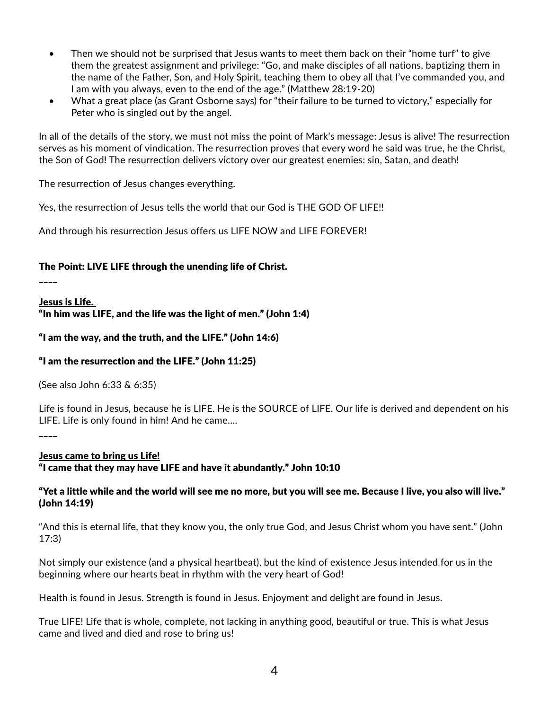- Then we should not be surprised that Jesus wants to meet them back on their "home turf" to give them the greatest assignment and privilege: "Go, and make disciples of all nations, baptizing them in the name of the Father, Son, and Holy Spirit, teaching them to obey all that I've commanded you, and I am with you always, even to the end of the age." (Matthew 28:19-20)
- What a great place (as Grant Osborne says) for "their failure to be turned to victory," especially for Peter who is singled out by the angel.

In all of the details of the story, we must not miss the point of Mark's message: Jesus is alive! The resurrection serves as his moment of vindication. The resurrection proves that every word he said was true, he the Christ, the Son of God! The resurrection delivers victory over our greatest enemies: sin, Satan, and death!

The resurrection of Jesus changes everything.

Yes, the resurrection of Jesus tells the world that our God is THE GOD OF LIFE!!

And through his resurrection Jesus offers us LIFE NOW and LIFE FOREVER!

## The Point: LIVE LIFE through the unending life of Christ.

\_\_\_\_

Jesus is Life.

"In him was LIFE, and the life was the light of men." (John 1:4)

"I am the way, and the truth, and the LIFE." (John 14:6)

## "I am the resurrection and the LIFE." (John 11:25)

(See also John 6:33 & 6:35)

Life is found in Jesus, because he is LIFE. He is the SOURCE of LIFE. Our life is derived and dependent on his LIFE. Life is only found in him! And he came….

\_\_\_\_

Jesus came to bring us Life!

"I came that they may have LIFE and have it abundantly." John 10:10

"Yet a little while and the world will see me no more, but you will see me. Because I live, you also will live." (John 14:19)

"And this is eternal life, that they know you, the only true God, and Jesus Christ whom you have sent." (John 17:3)

Not simply our existence (and a physical heartbeat), but the kind of existence Jesus intended for us in the beginning where our hearts beat in rhythm with the very heart of God!

Health is found in Jesus. Strength is found in Jesus. Enjoyment and delight are found in Jesus.

True LIFE! Life that is whole, complete, not lacking in anything good, beautiful or true. This is what Jesus came and lived and died and rose to bring us!